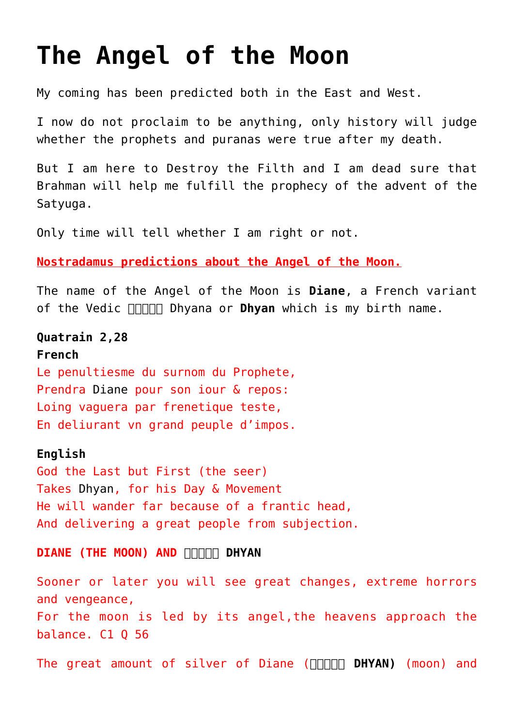## **[The Angel of the Moon](https://aryadharma.world/articles/the-prophecy-of-the-advent-of-the-satyuga/the-angel-of-the-moon/)**

My coming has been predicted both in the East and West.

I now do not proclaim to be anything, only history will judge whether the [prophets](https://en.wikipedia.org/wiki/Nostradamus) and [puranas](https://en.wikipedia.org/wiki/Puranas) were true after my death.

But I am here to Destroy the Filth and I am dead sure that Brahman will help me fulfill the [prophecy of the advent of the](https://aryadharma.world/articles/the-prophecy-of-the-advent-of-the-satyuga/) [Satyuga.](https://aryadharma.world/articles/the-prophecy-of-the-advent-of-the-satyuga/)

Only time will tell whether I am right or not.

**[Nostradamus](http://en.wikipedia.org/wiki/Nostradamus) predictions about the Angel of the Moon.**

The name of the Angel of the Moon is **Diane**, a French variant of the Vedic **FIFIL [Dhyan](https://aryadharma.world/vedasandupanishads/dhyan/)a or Dhyan** which is my birth name.

## **[Quatrain 2,28](http://www.sacred-texts.com/nos/mrg/nosmrg02.htm) French**

Le penultiesme du surnom du Prophete, Prendra [Diane](https://aryadharma.world/dhyan/) pour son iour & repos: Loing vaguera par frenetique teste, En deliurant vn grand peuple d'impos.

## **English**

God the Last but First (the seer) Takes [Dhyan,](https://aryadharma.world/dhyan/) for his Day & Movement He will wander far because of a frantic head, And delivering a great people from subjection.

## **DIANE (THE MOON) AND FIFIRE DHYAN**

Sooner or later you will see great changes, extreme horrors and vengeance, For the moon is led by its angel,the heavens approach the balance. C1 Q 56

The great amount of silver of Diane (**BRICAN)** (moon) and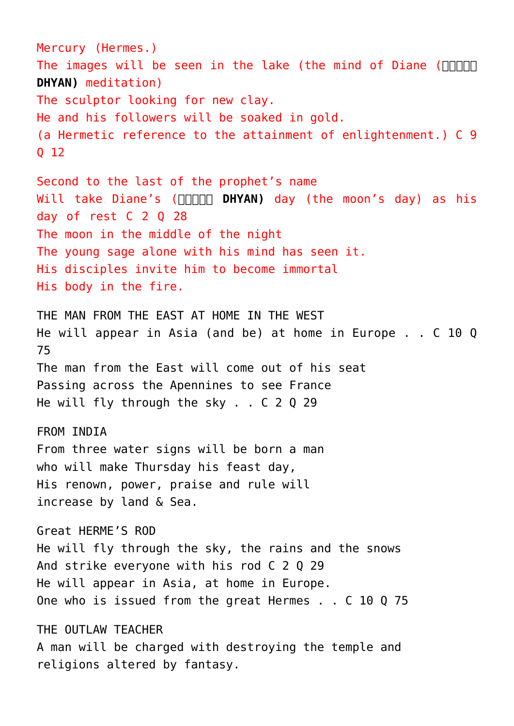Mercury (Hermes.) The images will be seen in the lake (the mind of Diane (**[ध्यान](https://aryadharma.world/vedasandupanishads/dhyan/) [DHYAN\)](https://aryadharma.world/vedasandupanishads/dhyan/)** meditation) The sculptor looking for new clay. He and his followers will be [soaked in gold.](https://aryadharma.world/vedasandupanishads/brahman/) (a Hermetic reference to the attainment of enlightenment.) C 9 Q 12 Second to the last of the prophet's name Will take Diane's (**[ध्यान DHYAN\)](https://aryadharma.world/vedasandupanishads/dhyan/)** day (the moon's day) as his day of rest C 2 Q 28 The moon in the middle of the night The young sage alone with his mind has seen it. His disciples invite him to become immortal His body in the fire. THE MAN FROM THE EAST AT HOME IN THE WEST He will appear in Asia (and be) at home in Europe . . C 10 Q 75 The man from the East will come out of his seat Passing across the Apennines to see France He will fly through the sky, . . C 2 0 29 FROM TNDTA From three water signs will be born a man who will make Thursday his feast day, His renown, power, praise and rule will increase by land & Sea. [Great HERME'S ROD](https://www.sacred-texts.com/nos/mrg/nosmrg02.htm) He will fly through the sky, the rains and the snows And strike everyone with his rod C 2 Q 29 He will appear in Asia, at home in Europe. One who is issued from the great Hermes . . C 10 Q 75 THE OUTLAW TEACHER A man will be charged with destroying the temple and religions altered by fantasy.